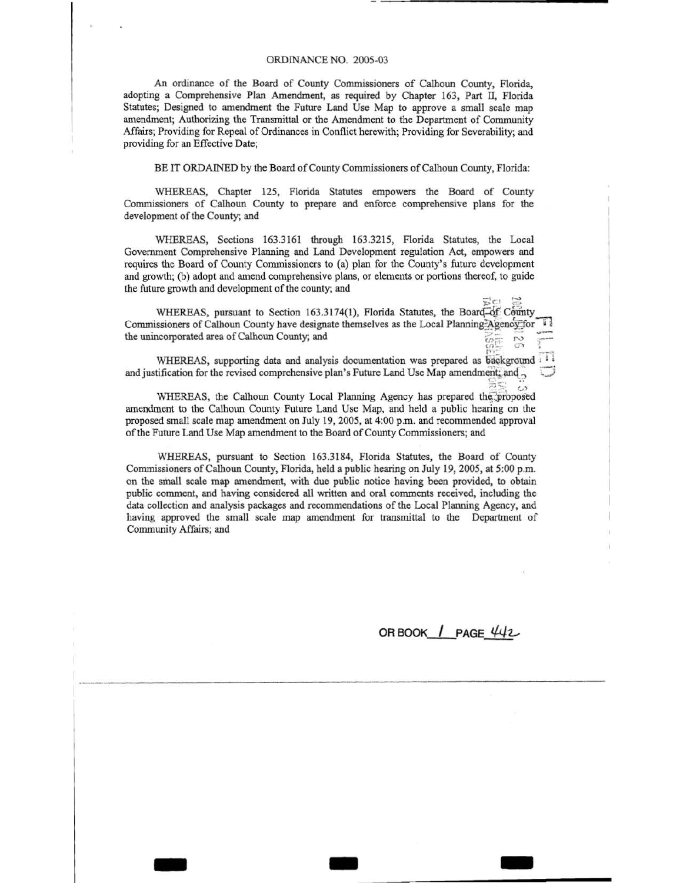# ORDINANCE NO. 2005-03

An ordinance of the Board of County Commissioners of Calhoun County, Florida, adopting a Comprehensive Plan Amendment, as required by Chapter 163, Part ll, Florida Statutes; Designed to amendment the Future Land Use Map to approve a small scale map amendment; Authorizing the Transmittal or the Amendment to the Department of Community Affairs; Providing for Repeal of Ordinances in Conflict herewith; Providing for Severability; and providing for an Effective Date;

BE IT ORDAINED by the Board of County Commissioners of Calhoun County, Florida:

WHEREAS, Chapter 125, Florida Statutes empowers the Board of County Commissioners of Calhoun County to prepare and enforce comprehensive plans for the development of the County; and

WHEREAS, Sections 163.3161 through 163.3215, Florida Statutes, the Local Government Comprehensive Planning and Land Development regulation Act, empowers and requires the Board of County Commissioners to (a) plan for the County's future development and growth; (b) adopt and amend comprehensive plans, or elements or portions thereof, to guide the future growth and development of the county; and

WHEREAS, pursuant to Section 163.3174(1), Florida Statutes, the Board-of: County Commissioners of Calhoun County have designate themselves as the Local Planning Agency for the unincorporated area of Calhoun County; and  $\omega_{\mathbb{Z}}$   $\omega$  :

WHEREAS, supporting data and analysis documentation was prepared as background 11 and justification for the revised comprehensive plan's Future Land Use Map amendment; and  $\frac{1}{\sqrt{2}}$  $\Xi\Xi$  ...

WHEREAS, the Calhoun County Local Planning Agency has prepared the proposed amendment to the Calhoun County Future Land Use Map, and held a public hearing on the proposed small scale map amendment on July 19, 2005, at 4:00p.m. and recommended approval of the Future Land Use Map amendment to the Board of County Commissioners; and

WHEREAS, pursuant to Section 163.3184, Florida Statutes, the Board of County Commissioners of Calhoun County, Florida, held a public hearing on July 19, 2005, at 5:00 p.m. on the small scale map amendment, with due public notice having been provided, to obtain public comment, and having considered all written and oral comments received, including the data collection and analysis packages and recommendations of the Local Planning Agency, and having approved the small scale map amendment for transmittal to the Department of Community Affairs; and

- - -

ORBOOK / PAGE 442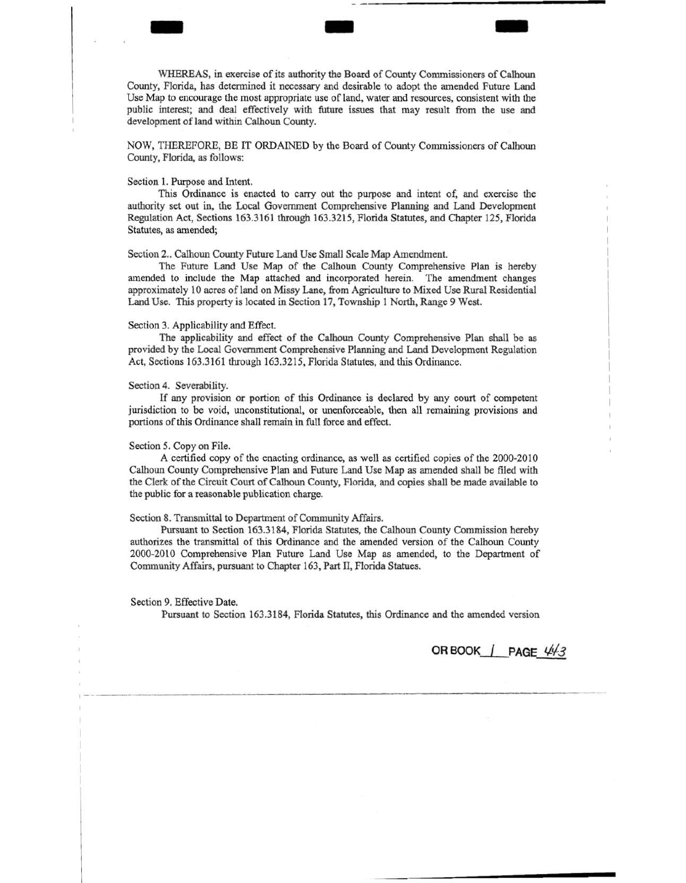WHEREAS, in exercise of its authority the Board of County Commissioners of Calhoun County, Florida, has determined it necessary and desirable to adopt the amended Future Land Use Map to encourage the most appropriate use of land, water and resources, consistent with the public interest; and deal effectively with future issues that may result from the use and development of land within Calhoun County.

- - -

NOW, THEREFORE, BE IT ORDAINED by the Board of County Commissioners of Calhoun County, Florida, as follows:

### Section l. Purpose and Intent.

This Ordinance is enacted to carry out the purpose and intent of, and exercise the authority set out in, the Local Government Comprehensive Planning and Land Development Regulation Act, Sections 163.3161 through 163.3215, Florida Statutes, and Chapter 125, Florida Statutes, as amended;

Section 2.. Calhoun County Future Land Use Small Scale Map Amendment.

The Future Land Use Map of the Calhoun County Comprehensive Plan is hereby amended to include the Map attached and incorporated herein. The amendment changes approximately 10 acres of land on Missy Lane, from Agriculture to Mixed Use Rural Residential Land Use. This property is located in Section 17, Township 1 North, Range 9 West.

## Section 3. Applicability and Effect.

The applicability and effect of the Calhoun County Comprehensive Plan shall be as provided by the Local Government Comprehensive Planning and Land Development Regulation Act, Sections 163.3161 through 163.3215, Florida Statutes, and this Ordinance.

# Section 4. Severability.

If any provision or portion of this Ordinance is declared by any court of competent jurisdiction to be void, unconstitutional, or unenforceable, then all remaining provisions and portions of this Ordinance shall remain in full force and effect.

#### Section *5.* Copy on File.

A certified copy of the enacting ordinance, as well as certified copies of the 2000-2010 Calhoun County Comprehensive Plan and Future Land Use Map as amended shall be filed with the Clerk of the Circuit Court of Calhoun County, Florida, and copies shall be made available to the public for a reasonable publication charge.

# Section 8. Transmittal to Department of Community Affairs.

Pursuant to Section 163.3184, Florida Statutes, the Calhoun County Commission hereby authorizes the transmittal of this Ordinance and the amended version of the Calhoun County 2000-2010 Comprehensive Plan Future Land Use Map as amended, to the Department of Community Affairs, pursuant to Chapter 163, Part TI, Florida Statues.

## Section 9. Effective Date.

Pursuant to Section 163.3184, Florida Statutes, this Ordinance and the amended version

**OR BOOK | PAGE**  $443$